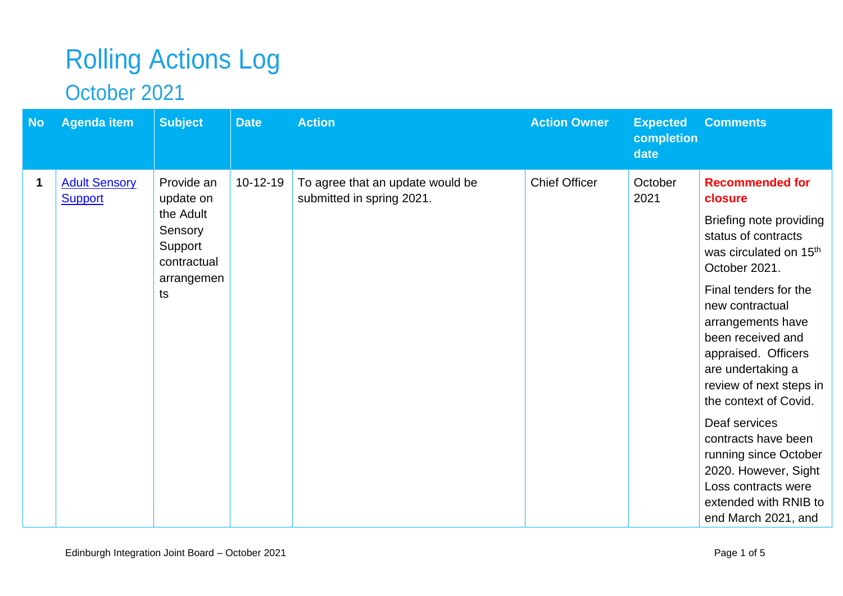## Rolling Actions Log

## October 2021

| <b>No</b>   | <b>Agenda item</b>                     | <b>Subject</b>                                                                                | <b>Date</b>    | <b>Action</b>                                                 | <b>Action Owner</b>  | <b>Expected</b><br>completion<br>date | <b>Comments</b>                                                                                                                                                                                                                                                                                                                                                                                                                                                                                  |
|-------------|----------------------------------------|-----------------------------------------------------------------------------------------------|----------------|---------------------------------------------------------------|----------------------|---------------------------------------|--------------------------------------------------------------------------------------------------------------------------------------------------------------------------------------------------------------------------------------------------------------------------------------------------------------------------------------------------------------------------------------------------------------------------------------------------------------------------------------------------|
| $\mathbf 1$ | <b>Adult Sensory</b><br><b>Support</b> | Provide an<br>update on<br>the Adult<br>Sensory<br>Support<br>contractual<br>arrangemen<br>ts | $10 - 12 - 19$ | To agree that an update would be<br>submitted in spring 2021. | <b>Chief Officer</b> | October<br>2021                       | <b>Recommended for</b><br>closure<br>Briefing note providing<br>status of contracts<br>was circulated on 15 <sup>th</sup><br>October 2021.<br>Final tenders for the<br>new contractual<br>arrangements have<br>been received and<br>appraised. Officers<br>are undertaking a<br>review of next steps in<br>the context of Covid.<br>Deaf services<br>contracts have been<br>running since October<br>2020. However, Sight<br>Loss contracts were<br>extended with RNIB to<br>end March 2021, and |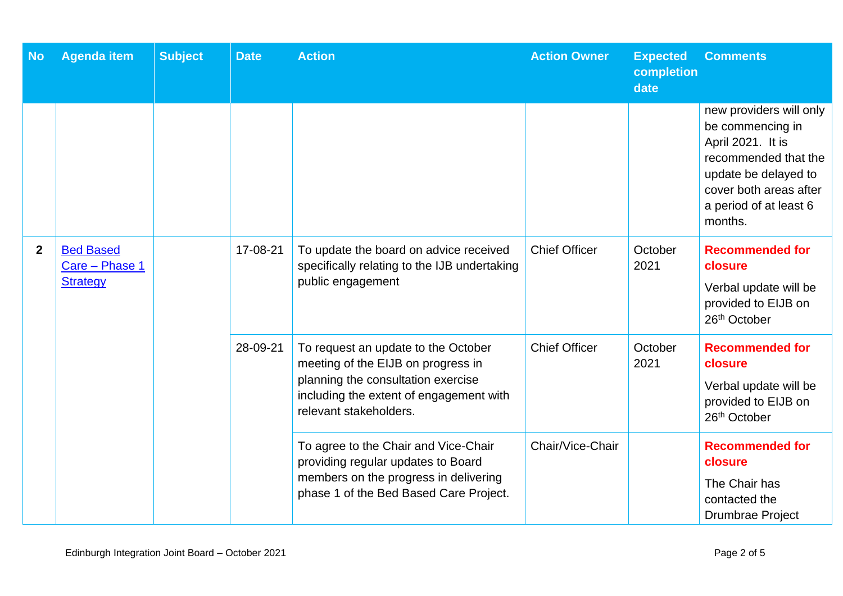| <b>No</b>        | <b>Agenda item</b>                                    | <b>Subject</b>                                                                                                                                                                                                                                                                                                                                                                                                                                                                                                                                                   | <b>Date</b>     | <b>Action</b>                                                                                                 | <b>Action Owner</b> | <b>Expected</b><br>completion<br>date | <b>Comments</b>                                                                                                                                                                 |
|------------------|-------------------------------------------------------|------------------------------------------------------------------------------------------------------------------------------------------------------------------------------------------------------------------------------------------------------------------------------------------------------------------------------------------------------------------------------------------------------------------------------------------------------------------------------------------------------------------------------------------------------------------|-----------------|---------------------------------------------------------------------------------------------------------------|---------------------|---------------------------------------|---------------------------------------------------------------------------------------------------------------------------------------------------------------------------------|
|                  |                                                       |                                                                                                                                                                                                                                                                                                                                                                                                                                                                                                                                                                  |                 |                                                                                                               |                     |                                       | new providers will only<br>be commencing in<br>April 2021. It is<br>recommended that the<br>update be delayed to<br>cover both areas after<br>a period of at least 6<br>months. |
| $\boldsymbol{2}$ | <b>Bed Based</b><br>Care - Phase 1<br><b>Strategy</b> | 17-08-21<br>To update the board on advice received<br><b>Chief Officer</b><br>specifically relating to the IJB undertaking<br>public engagement<br>28-09-21<br><b>Chief Officer</b><br>To request an update to the October<br>meeting of the EIJB on progress in<br>planning the consultation exercise<br>including the extent of engagement with<br>relevant stakeholders.<br>Chair/Vice-Chair<br>To agree to the Chair and Vice-Chair<br>providing regular updates to Board<br>members on the progress in delivering<br>phase 1 of the Bed Based Care Project. |                 |                                                                                                               |                     | October<br>2021                       | <b>Recommended for</b><br>closure<br>Verbal update will be<br>provided to EIJB on<br>26 <sup>th</sup> October                                                                   |
|                  |                                                       |                                                                                                                                                                                                                                                                                                                                                                                                                                                                                                                                                                  | October<br>2021 | <b>Recommended for</b><br>closure<br>Verbal update will be<br>provided to EIJB on<br>26 <sup>th</sup> October |                     |                                       |                                                                                                                                                                                 |
|                  |                                                       |                                                                                                                                                                                                                                                                                                                                                                                                                                                                                                                                                                  |                 |                                                                                                               |                     |                                       | <b>Recommended for</b><br>closure<br>The Chair has<br>contacted the<br>Drumbrae Project                                                                                         |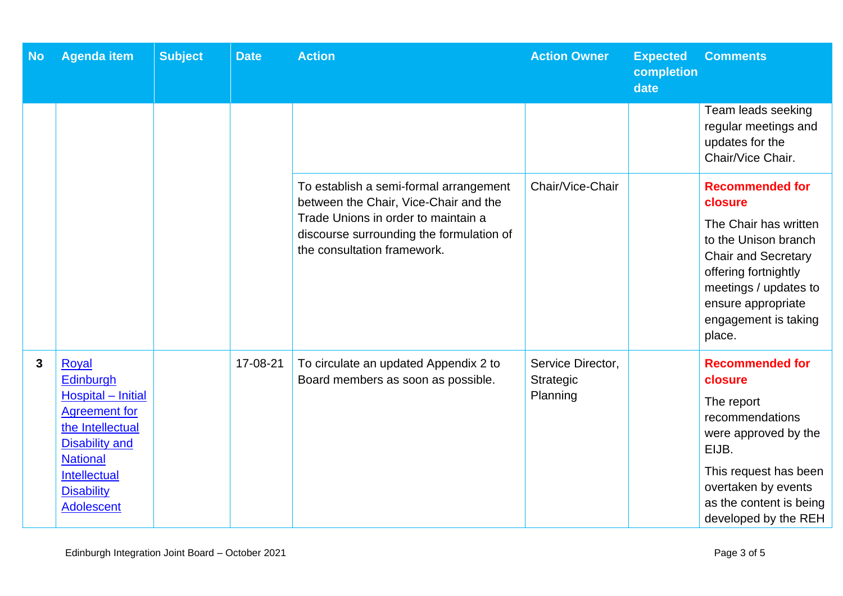| <b>No</b> | <b>Agenda item</b>                                                                                                                                                                         | <b>Subject</b> | <b>Date</b> | <b>Action</b>                                                                                                                                                                                     | <b>Action Owner</b>                        | <b>Expected</b><br>completion<br>date | <b>Comments</b>                                                                                                                                                                                                           |
|-----------|--------------------------------------------------------------------------------------------------------------------------------------------------------------------------------------------|----------------|-------------|---------------------------------------------------------------------------------------------------------------------------------------------------------------------------------------------------|--------------------------------------------|---------------------------------------|---------------------------------------------------------------------------------------------------------------------------------------------------------------------------------------------------------------------------|
|           |                                                                                                                                                                                            |                |             |                                                                                                                                                                                                   |                                            |                                       | Team leads seeking<br>regular meetings and<br>updates for the<br>Chair/Vice Chair.                                                                                                                                        |
|           |                                                                                                                                                                                            |                |             | To establish a semi-formal arrangement<br>between the Chair, Vice-Chair and the<br>Trade Unions in order to maintain a<br>discourse surrounding the formulation of<br>the consultation framework. | Chair/Vice-Chair                           |                                       | <b>Recommended for</b><br>closure<br>The Chair has written<br>to the Unison branch<br><b>Chair and Secretary</b><br>offering fortnightly<br>meetings / updates to<br>ensure appropriate<br>engagement is taking<br>place. |
| 3         | Royal<br>Edinburgh<br>Hospital - Initial<br><b>Agreement for</b><br>the Intellectual<br><b>Disability and</b><br><b>National</b><br>Intellectual<br><b>Disability</b><br><b>Adolescent</b> |                | 17-08-21    | To circulate an updated Appendix 2 to<br>Board members as soon as possible.                                                                                                                       | Service Director,<br>Strategic<br>Planning |                                       | <b>Recommended for</b><br>closure<br>The report<br>recommendations<br>were approved by the<br>EIJB.<br>This request has been<br>overtaken by events<br>as the content is being<br>developed by the REH                    |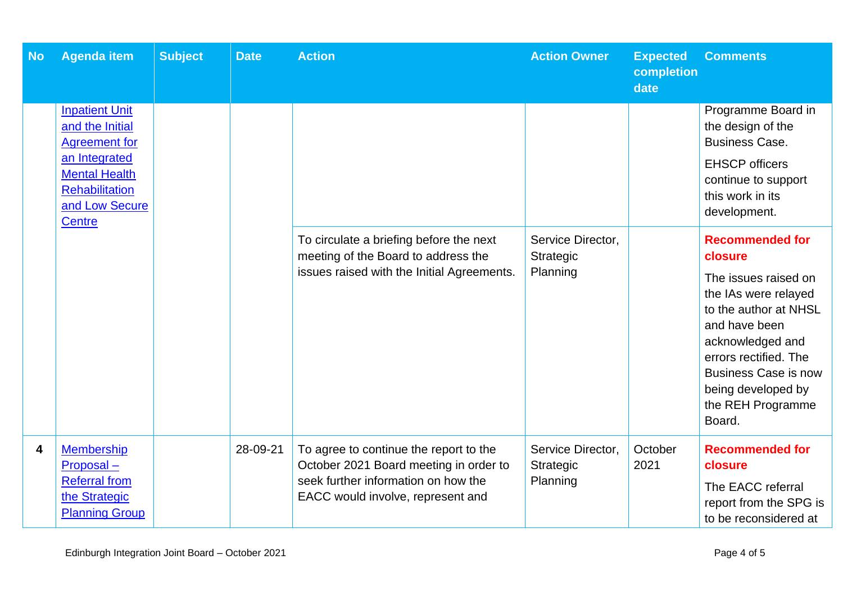| <b>No</b> | <b>Agenda item</b>                                                                                                                                                    | <b>Subject</b> | <b>Date</b> | <b>Action</b>                                                                                                                                                | <b>Action Owner</b>                        | <b>Expected</b><br>completion<br>date | <b>Comments</b>                                                                                                                                                                                                                                              |
|-----------|-----------------------------------------------------------------------------------------------------------------------------------------------------------------------|----------------|-------------|--------------------------------------------------------------------------------------------------------------------------------------------------------------|--------------------------------------------|---------------------------------------|--------------------------------------------------------------------------------------------------------------------------------------------------------------------------------------------------------------------------------------------------------------|
|           | <b>Inpatient Unit</b><br>and the Initial<br><b>Agreement for</b><br>an Integrated<br><b>Mental Health</b><br><b>Rehabilitation</b><br>and Low Secure<br><b>Centre</b> |                |             |                                                                                                                                                              |                                            |                                       | Programme Board in<br>the design of the<br><b>Business Case.</b><br><b>EHSCP</b> officers<br>continue to support<br>this work in its<br>development.                                                                                                         |
|           |                                                                                                                                                                       |                |             | To circulate a briefing before the next<br>meeting of the Board to address the<br>issues raised with the Initial Agreements.                                 | Service Director,<br>Strategic<br>Planning |                                       | <b>Recommended for</b><br>closure<br>The issues raised on<br>the IAs were relayed<br>to the author at NHSL<br>and have been<br>acknowledged and<br>errors rectified. The<br><b>Business Case is now</b><br>being developed by<br>the REH Programme<br>Board. |
| 4         | <b>Membership</b><br>Proposal-<br><b>Referral from</b><br>the Strategic<br><b>Planning Group</b>                                                                      |                | 28-09-21    | To agree to continue the report to the<br>October 2021 Board meeting in order to<br>seek further information on how the<br>EACC would involve, represent and | Service Director,<br>Strategic<br>Planning | October<br>2021                       | <b>Recommended for</b><br>closure<br>The EACC referral<br>report from the SPG is<br>to be reconsidered at                                                                                                                                                    |